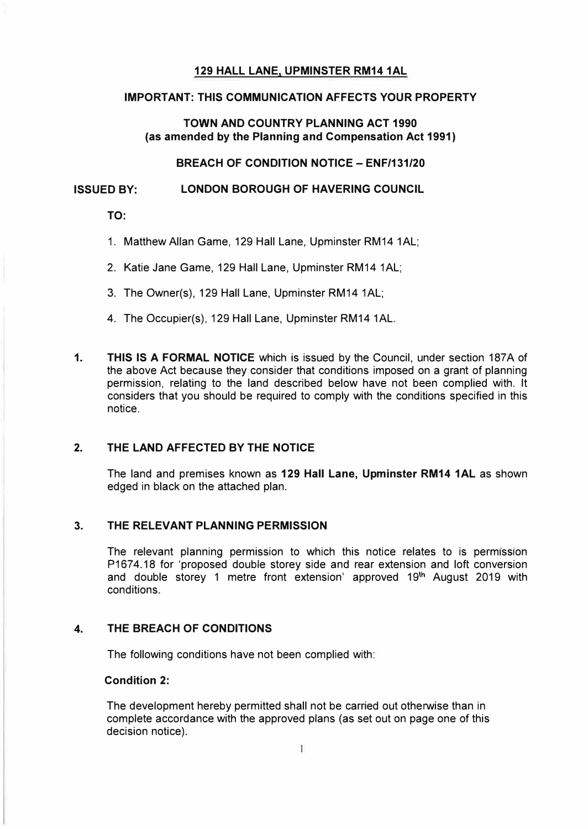# **129 HALL LANE, UPMINSTER RM14 1AL**

# **IMPORTANT: THIS COMMUNICATION AFFECTS YOUR PROPERTY**

# **TOWN AND COUNTRY PLANNING ACT 1990 (as amended by the Planning and Compensation Act 1991)**

**BREACH OF CONDITION NOTICE- ENF/131/20** 

# **ISSUED BY: LONDON BOROUGH OF HAVERING COUNCIL**

**TO:** 

- 1. Matthew Allan Game, 129 Hall Lane, Upminster RM14 1AL;
- 2. Katie Jane Game, 129 Hall Lane, Upminster RM14 1AL;
- 3. The Owner(s), 129 Hall Lane, Upminster RM14 1AL;
- 4. The Occupier(s), 129 Hall Lane, Upminster RM14 1AL.
- **1. THIS IS A FORMAL NOTICE** which is issued by the Council, under section 187A of the above Act because they consider that conditions imposed on a grant of planning permission, relating to the land described below have not been complied with. It considers that you should be required to comply with the conditions specified in this notice.

# **2. THE LAND AFFECTED BY THE NOTICE**

The land and premises known as **129 Hall Lane, Upminster RM14 1AL** as shown edged in black on the attached plan.

#### **3. THE RELEVANT PLANNING PERMISSION**

The relevant planning permission to which this notice relates to is permission P1674.18 for 'proposed double storey side and rear extension and loft conversion and double storey 1 metre front extension' approved 19<sup>th</sup> August 2019 with conditions.

# **4. THE BREACH OF CONDITIONS**

The following conditions have not been complied with:

# **Condition 2:**

The development hereby permitted shall not be carried out otherwise than in complete accordance with the approved plans (as set out on page one of this decision notice).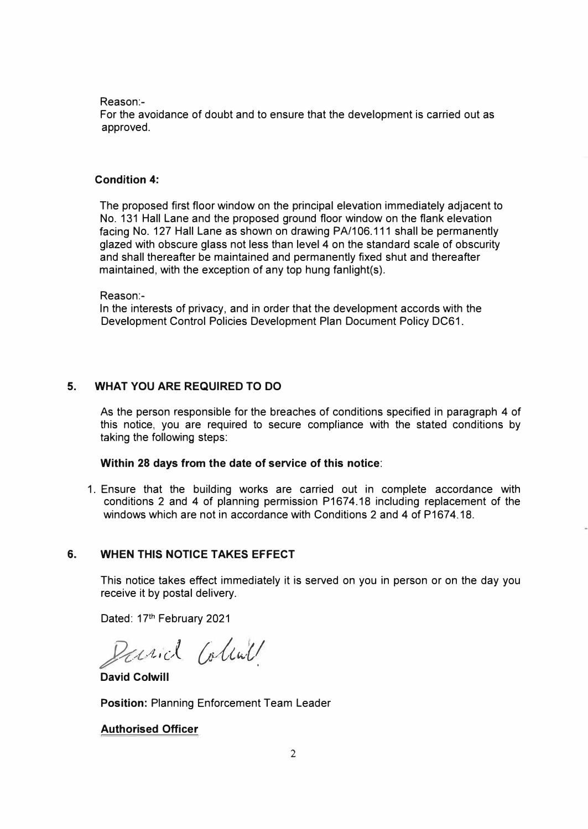Reason:-

For the avoidance of doubt and to ensure that the development is carried out as approved.

# **Condition 4:**

The proposed first floor window on the principal elevation immediately adjacent to No. 131 Hall Lane and the proposed ground floor window on the flank elevation facing No. 127 Hall Lane as shown on drawing PA/106.111 shall be permanently glazed with obscure glass not less than level 4 on the standard scale of obscurity and shall thereafter be maintained and permanently fixed shut and thereafter maintained, with the exception of any top hung fanlight(s).

Reason:-

ln the interests of privacy, and in order that the development accords with the Development Control Policies Development Plan Document Policy DC61.

# **5. WHAT YOU ARE REQUIRED TO DO**

As the person responsible for the breaches of conditions specified in paragraph 4 of this notice, you are required to secure compliance with the stated conditions by taking the following steps:

### **Within 28 days from the date of service of this notice:**

1. Ensure that the building works are carried out in complete accordance with conditions 2 and 4 of planning permission P1674.18 including replacement of the windows which are not in accordance with Conditions 2 and 4 of P1674.18.

# **6. WHEN THIS NOTICE TAKES EFFECT**

This notice takes effect immediately it is served on you in person or on the day you receive it by postal delivery.

Dated: 17th February 2021

Parial Colink

**David Colwill** 

**Position:** Planning Enforcement Team Leader

### **Authorised Officer**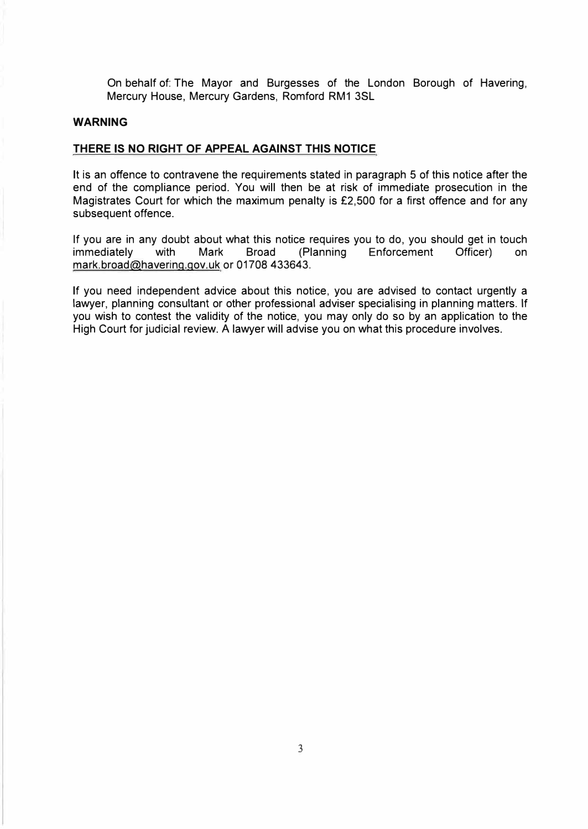On behalf of: The Mayor and Burgesses of the London Borough of Havering, Mercury House, Mercury Gardens, Romford RM1 3SL

## **WARNING**

# **THERE IS NO RIGHT OF APPEAL AGAINST THIS NOTICE**

It is an offence to contravene the requirements stated in paragraph 5 of this notice after the end of the compliance period. You will then be at risk of immediate prosecution in the Magistrates Court for which the maximum penalty is £2,500 for a first offence and for any subsequent offence.

If you are in any doubt about what this notice requires you to do, you should get in touch<br>
immediately with Mark Broad (Planning Enforcement Officer) on Enforcement Officer) on mark.broad@havering.gov.uk or 01708 433643.

If you need independent advice about this notice, you are advised to contact urgently a lawyer, planning consultant or other professional adviser specialising in planning matters. If you wish to contest the validity of the notice, you may only do so by an application to the High Court for judicial review. A lawyer will advise you on what this procedure involves.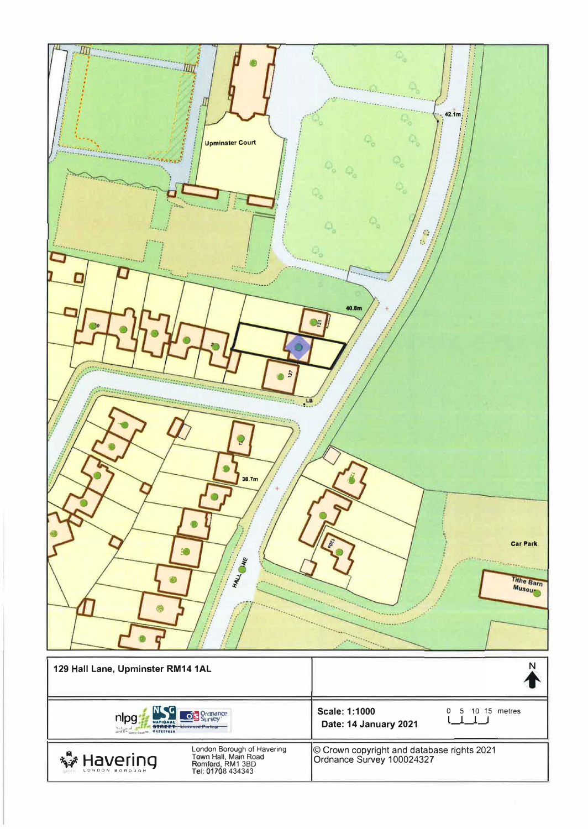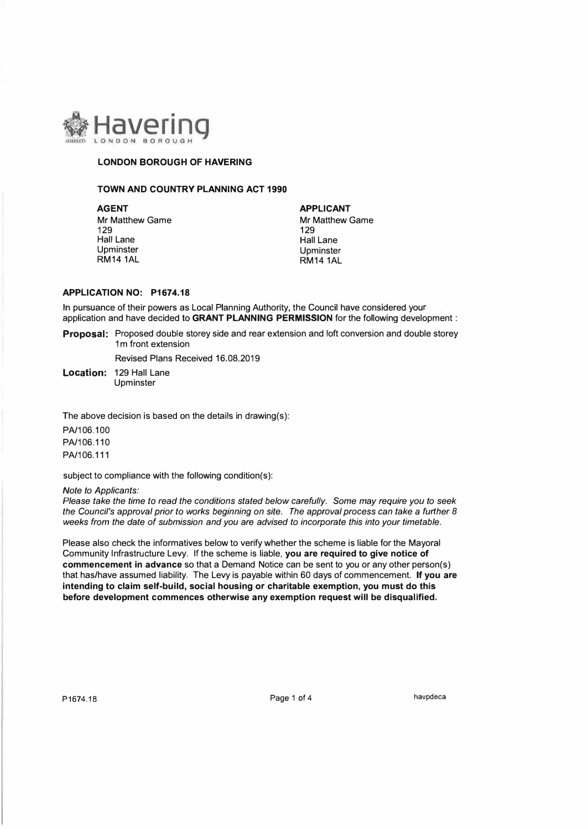

### **LONDON BOROUGH OF HAVERING**

### **TOWN AND COUNTRY PLANNING ACT 1990**

**AGENT**<br>
Mr Matthew Game<br>
Mr Matthew Game Mr Matthew Game<br>129 129 129 129 Hall Lane Hall Lane Hall Lane Hall Lane Hall Lane Hall Lane Upminster Upminster Upminster Upminster Upminster Upminster Upminster Upminster Upminster Upminster Upminster<br>
UPM 14 1AL

**RM14 1AL** 

### **APPLICATION NO: P1674.18**

In pursuance of their powers as Local Planning Authority, the Council have considered your application and have decided to **GRANT PLANNING PERMISSION** for the following development :

**Proposal:** Proposed double storey side and rear extension and loft conversion and double storey 1m front extension

Revised Plans Received 16.08.2019

**Location:** 129 Hall Lane Upminster

The above decision is based on the details in drawing(s):

PA/106.100 PA/106.110 PA/106.111

subject to compliance with the following condition(s):

#### *Note to Applicants:*

*Please take the time to read the conditions stated below carefully. Some may require you to seek the Council's approval prior to works beginning on site. The approval process can take a further 8 weeks from the date of submission and you are advised to incorporate this into your timetable.* 

Please also check the informatives below to verify whether the scheme is liable for the Mayoral Community Infrastructure Levy. If the scheme is liable, **you are required to give notice of commencement in advance** so that a Demand Notice can be sent to you or any other person(s) that has/have assumed liability. The Levy is payable within 60 days of commencement. **If you are intending to claim self-build, social housing or charitable exemption, you must do this before development commences otherwise any exemption request will be disqualified.** 

P1674.18 Page 1 of 4 havpdeca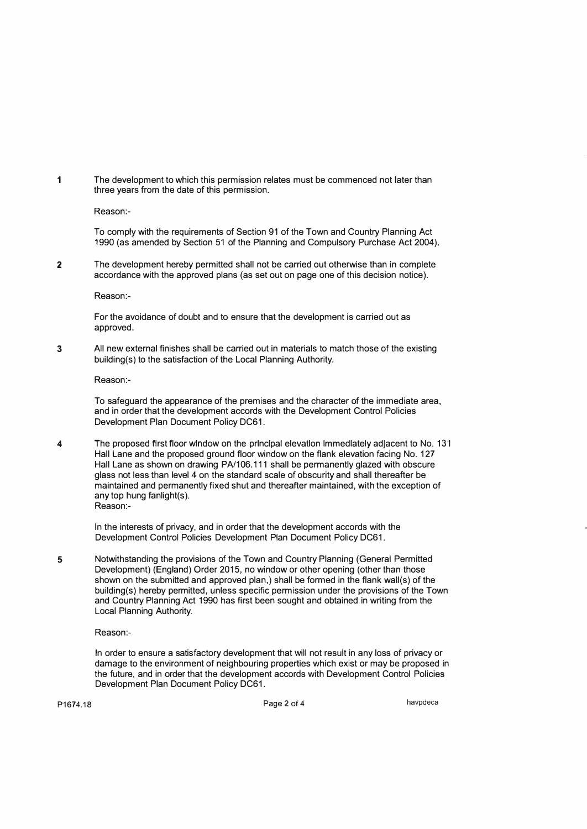1 The development to which this permission relates must be commenced not later than three years from the date of this permission.

Reason:-

To comply with the requirements of Section 91 of the Town and Country Planning Act 1990 (as amended by Section 51 of the Planning and Compulsory Purchase Act 2004).

2 The development hereby permitted shall not be carried out otherwise than in complete accordance with the approved plans (as set out on page one of this decision notice).

Reason:-

For the avoidance of doubt and to ensure that the development is carried out as approved.

3 All new external finishes shall be carried out in materials to match those of the existing building(s) to the satisfaction of the Local Planning Authority.

Reason:-

To safeguard the appearance of the premises and the character of the immediate area, and in order that the development accords with the Development Control Policies Development Plan Document Policy DC61.

4 The proposed first floor window on the principal elevation Immediately adjacent to No. 13·1 Hall Lane and the proposed ground floor window on the flank elevation facing No. 127 Hall Lane as shown on drawing PA/106.111 shall be permanently glazed with obscure glass not less than level 4 on the standard scale of obscurity and shall thereafter be maintained and permanently fixed shut and thereafter maintained, with the exception of any top hung fanlight(s). Reason:-

ln the interests of privacy, and in order that the development accords with the Development Control Policies Development Plan Document Policy DC61.

5 Notwithstanding the provisions of the Town and Country Planning (General Permitted Development) (England) Order 2015, no window or other opening (other than those shown on the submitted and approved plan,) shall be formed in the flank wall(s) of the building(s) hereby permitted, unless specific permission under the provisions of the Town and Country Planning Act 1990 has first been sought and obtained in writing from the Local Planning Authority.

Reason:-

ln order to ensure a satisfactory development that will not result in any loss of privacy or damage to the environment of neighbouring properties which exist or may be proposed in the future, and in order that the development accords with Development Control Policies Development Plan Document Policy DC61.

P1674.18 **Page 2 of 4 Page 2 of 4 havpdeca**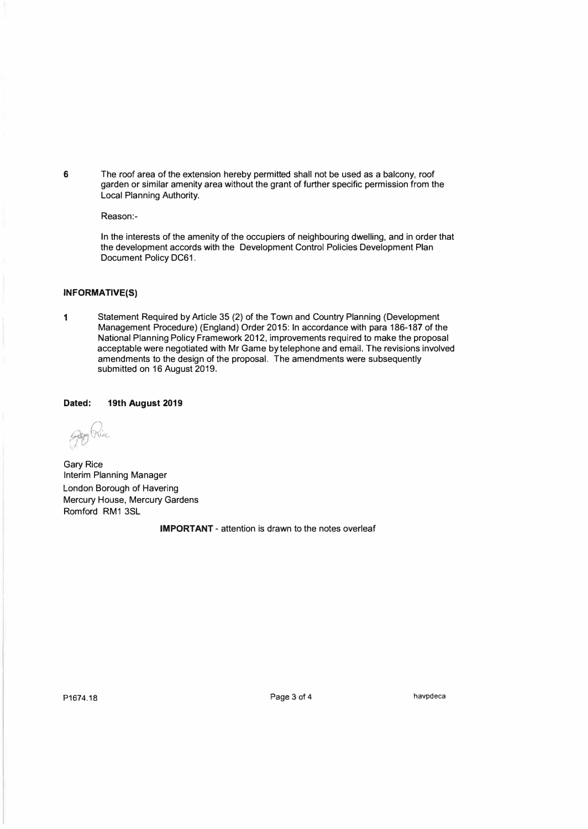**6** The roof area of the extension hereby permitted shall not be used as a balcony, roof garden or similar amenity area without the grant of further specific permission from the Local Planning Authority.

Reason:-

ln the interests of the amenity of the occupiers of neighbouring dwelling, and in order that the development accords with the Development Control Policies Development Plan Document Policy DC61.

### **INFORMATIVE(S)**

**1** Statement Required by Article 35 (2) of the Town and Country Planning (Development Management Procedure) (England) Order 2015: In accordance with para 186-187 of the National Planning Policy Framework 2012, improvements required to make the proposal acceptable were negotiated with Mr Game by telephone and email. The revisions involved amendments to the design of the proposal. The amendments were subsequently submitted on 16 August 2019.

**Dated: 19th August 2019** 

*· ·r1QlL6 I)/* 

Gary Rice Interim Planning Manager London Borough of Havering Mercury House, Mercury Gardens Romford RM1 3SL

**IMPORTANT** - attention is drawn to the notes overleaf

**P1674.18** Page 3 of 4 **havpdeca**